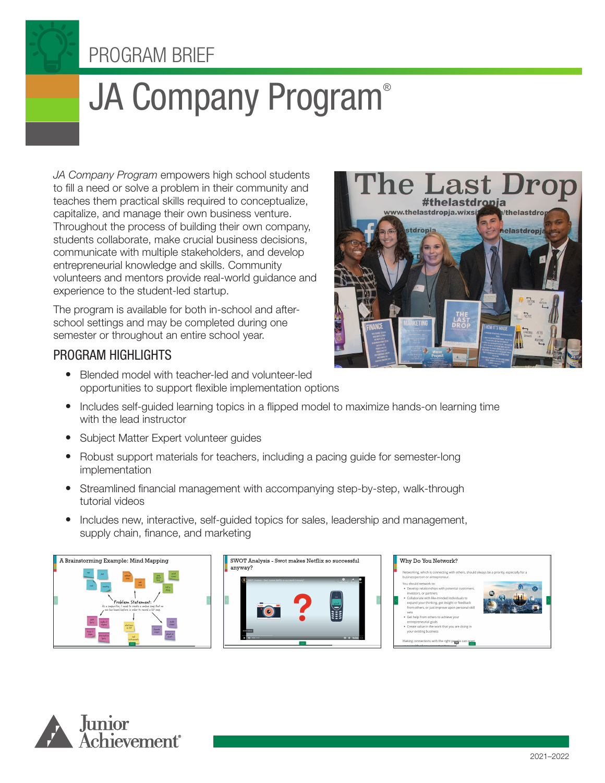# PROGRAM BRIEF

# JA Company Program®

*JA Company Program* empowers high school students to fill a need or solve a problem in their community and teaches them practical skills required to conceptualize, capitalize, and manage their own business venture. Throughout the process of building their own company, students collaborate, make crucial business decisions, communicate with multiple stakeholders, and develop entrepreneurial knowledge and skills. Community volunteers and mentors provide real-world guidance and experience to the student-led startup.

The program is available for both in-school and afterschool settings and may be completed during one semester or throughout an entire school year.

## PROGRAM HIGHLIGHTS

- Blended model with teacher-led and volunteer-led opportunities to support flexible implementation options
- Includes self-guided learning topics in a flipped model to maximize hands-on learning time with the lead instructor
- Subject Matter Expert volunteer guides
- Robust support materials for teachers, including a pacing guide for semester-long implementation
- Streamlined financial management with accompanying step-by-step, walk-through tutorial videos
- Includes new, interactive, self-guided topics for sales, leadership and management, supply chain, finance, and marketing